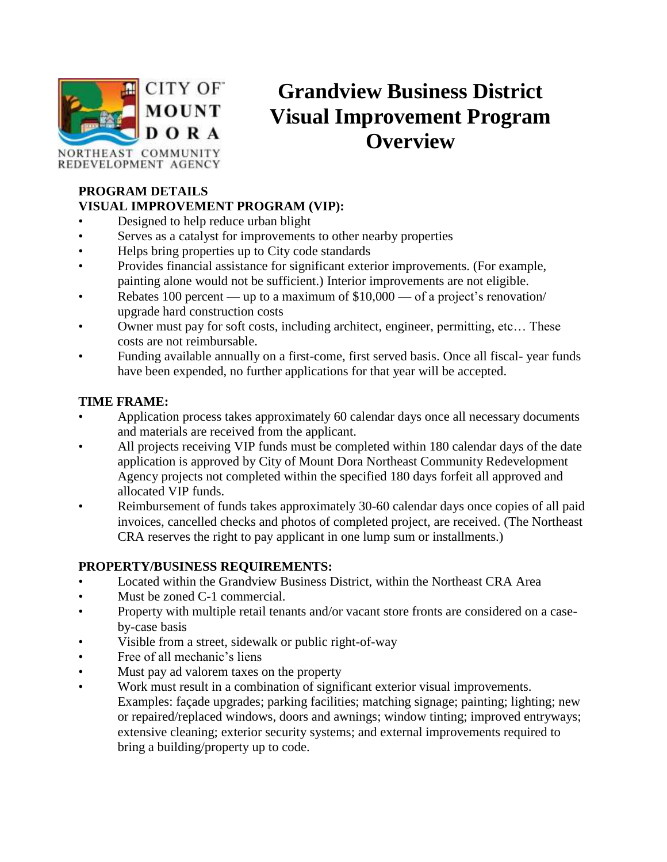

# **Grandview Business District Visual Improvement Program Overview**

NORTHEAST COMMUNITY REDEVELOPMENT AGENCY

#### **PROGRAM DETAILS VISUAL IMPROVEMENT PROGRAM (VIP):**

- Designed to help reduce urban blight
- Serves as a catalyst for improvements to other nearby properties
- Helps bring properties up to City code standards
- Provides financial assistance for significant exterior improvements. (For example, painting alone would not be sufficient.) Interior improvements are not eligible.
- Rebates 100 percent up to a maximum of \$10,000 of a project's renovation/ upgrade hard construction costs
- Owner must pay for soft costs, including architect, engineer, permitting, etc… These costs are not reimbursable.
- Funding available annually on a first-come, first served basis. Once all fiscal- year funds have been expended, no further applications for that year will be accepted.

#### **TIME FRAME:**

- Application process takes approximately 60 calendar days once all necessary documents and materials are received from the applicant.
- All projects receiving VIP funds must be completed within 180 calendar days of the date application is approved by City of Mount Dora Northeast Community Redevelopment Agency projects not completed within the specified 180 days forfeit all approved and allocated VIP funds.
- Reimbursement of funds takes approximately 30-60 calendar days once copies of all paid invoices, cancelled checks and photos of completed project, are received. (The Northeast CRA reserves the right to pay applicant in one lump sum or installments.)

#### **PROPERTY/BUSINESS REQUIREMENTS:**

- Located within the Grandview Business District, within the Northeast CRA Area
- Must be zoned C-1 commercial.
- Property with multiple retail tenants and/or vacant store fronts are considered on a caseby-case basis
- Visible from a street, sidewalk or public right-of-way
- Free of all mechanic's liens
- Must pay ad valorem taxes on the property
- Work must result in a combination of significant exterior visual improvements. Examples: façade upgrades; parking facilities; matching signage; painting; lighting; new or repaired/replaced windows, doors and awnings; window tinting; improved entryways; extensive cleaning; exterior security systems; and external improvements required to bring a building/property up to code.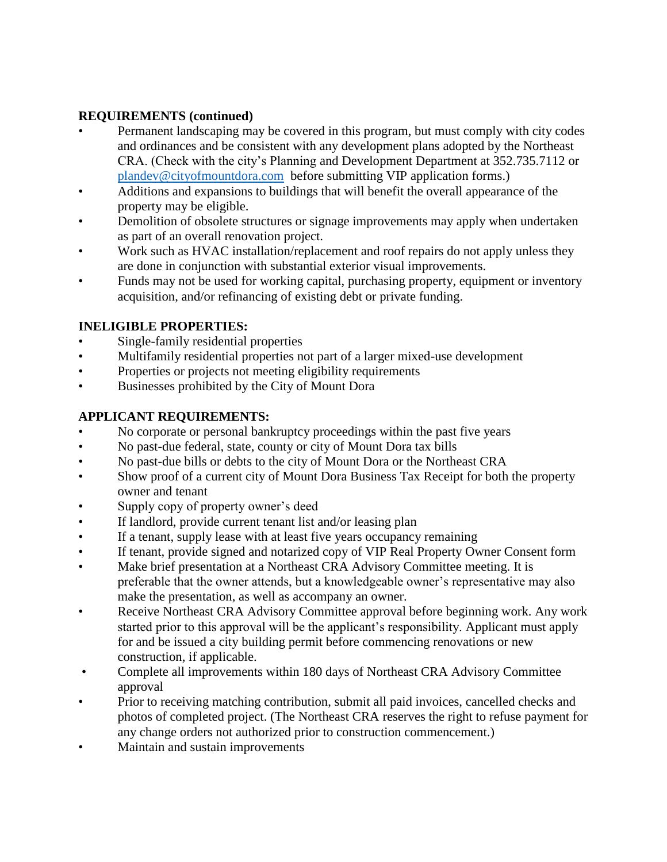#### **REQUIREMENTS (continued)**

- Permanent landscaping may be covered in this program, but must comply with city codes and ordinances and be consistent with any development plans adopted by the Northeast CRA. (Check with the city's Planning and Development Department at 352.735.7112 or [plandev@cityofmountdora.com](mailto:plandev@cityofmountdora.com) before submitting VIP application forms.)
- Additions and expansions to buildings that will benefit the overall appearance of the property may be eligible.
- Demolition of obsolete structures or signage improvements may apply when undertaken as part of an overall renovation project.
- • Work such as HVAC installation/replacement and roof repairs do not apply unless they are done in conjunction with substantial exterior visual improvements.
- Funds may not be used for working capital, purchasing property, equipment or inventory acquisition, and/or refinancing of existing debt or private funding.

#### **INELIGIBLE PROPERTIES:**

- Single-family residential properties
- Multifamily residential properties not part of a larger mixed-use development
- Properties or projects not meeting eligibility requirements
- Businesses prohibited by the City of Mount Dora

#### **APPLICANT REQUIREMENTS:**

- No corporate or personal bankruptcy proceedings within the past five years
- No past-due federal, state, county or city of Mount Dora tax bills
- No past-due bills or debts to the city of Mount Dora or the Northeast CRA
- Show proof of a current city of Mount Dora Business Tax Receipt for both the property owner and tenant
- Supply copy of property owner's deed
- If landlord, provide current tenant list and/or leasing plan
- If a tenant, supply lease with at least five years occupancy remaining
- If tenant, provide signed and notarized copy of VIP Real Property Owner Consent form
- Make brief presentation at a Northeast CRA Advisory Committee meeting. It is preferable that the owner attends, but a knowledgeable owner's representative may also make the presentation, as well as accompany an owner.
- Receive Northeast CRA Advisory Committee approval before beginning work. Any work started prior to this approval will be the applicant's responsibility. Applicant must apply for and be issued a city building permit before commencing renovations or new construction, if applicable.
- Complete all improvements within 180 days of Northeast CRA Advisory Committee approval
- Prior to receiving matching contribution, submit all paid invoices, cancelled checks and photos of completed project. (The Northeast CRA reserves the right to refuse payment for any change orders not authorized prior to construction commencement.)
- Maintain and sustain improvements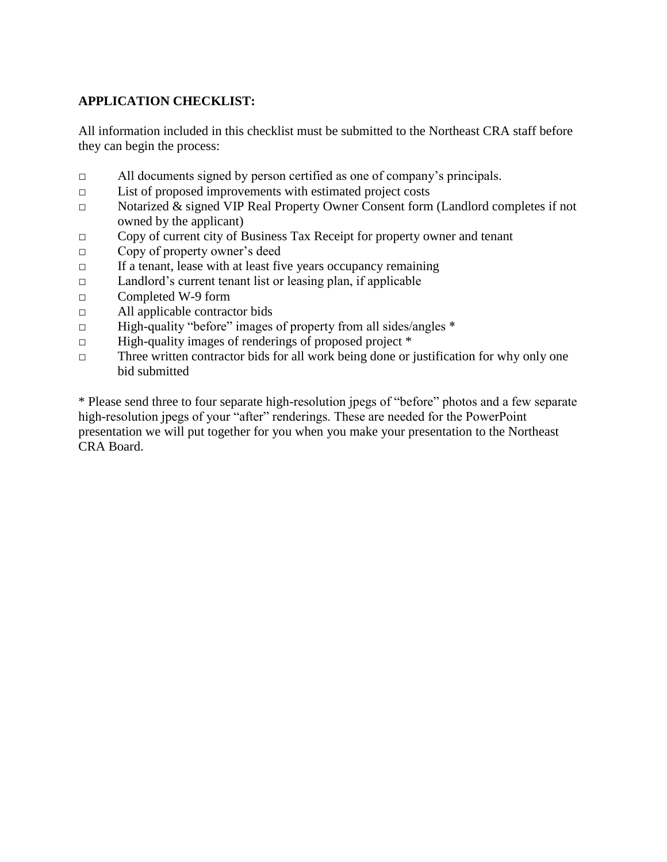#### **APPLICATION CHECKLIST:**

All information included in this checklist must be submitted to the Northeast CRA staff before they can begin the process:

- □ All documents signed by person certified as one of company's principals.
- □ List of proposed improvements with estimated project costs
- □ Notarized & signed VIP Real Property Owner Consent form (Landlord completes if not owned by the applicant)
- □ Copy of current city of Business Tax Receipt for property owner and tenant
- □ Copy of property owner's deed
- $\Box$  If a tenant, lease with at least five years occupancy remaining
- □ Landlord's current tenant list or leasing plan, if applicable
- □ Completed W-9 form
- □ All applicable contractor bids
- $\Box$  High-quality "before" images of property from all sides/angles  $*$
- □ High-quality images of renderings of proposed project \*
- $\Box$  Three written contractor bids for all work being done or justification for why only one bid submitted

\* Please send three to four separate high-resolution jpegs of "before" photos and a few separate high-resolution jpegs of your "after" renderings. These are needed for the PowerPoint presentation we will put together for you when you make your presentation to the Northeast CRA Board.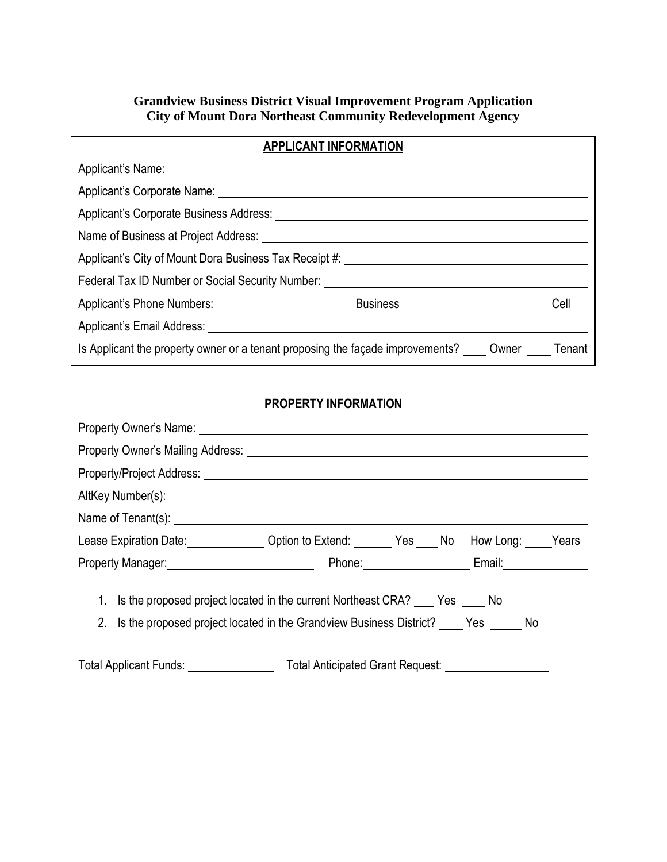#### **Grandview Business District Visual Improvement Program Application City of Mount Dora Northeast Community Redevelopment Agency**

| <b>APPLICANT INFORMATION</b>                                                                            |  |      |
|---------------------------------------------------------------------------------------------------------|--|------|
|                                                                                                         |  |      |
|                                                                                                         |  |      |
|                                                                                                         |  |      |
|                                                                                                         |  |      |
| Applicant's City of Mount Dora Business Tax Receipt #: __________________________                       |  |      |
| Federal Tax ID Number or Social Security Number: _______________________________                        |  |      |
|                                                                                                         |  | Cell |
|                                                                                                         |  |      |
| Is Applicant the property owner or a tenant proposing the façade improvements? _____ Owner _____ Tenant |  |      |

### **PROPERTY INFORMATION**

| Lease Expiration Date: Christian Coption to Extend: Christian Mes Company Nears Nears Nears 1. 2014 |  |  |                      |  |
|-----------------------------------------------------------------------------------------------------|--|--|----------------------|--|
|                                                                                                     |  |  | Phone: Email: Email: |  |
| 1. Is the proposed project located in the current Northeast CRA? Fig. Ses The No                    |  |  |                      |  |
| 2. Is the proposed project located in the Grandview Business District? Yes No                       |  |  |                      |  |
|                                                                                                     |  |  |                      |  |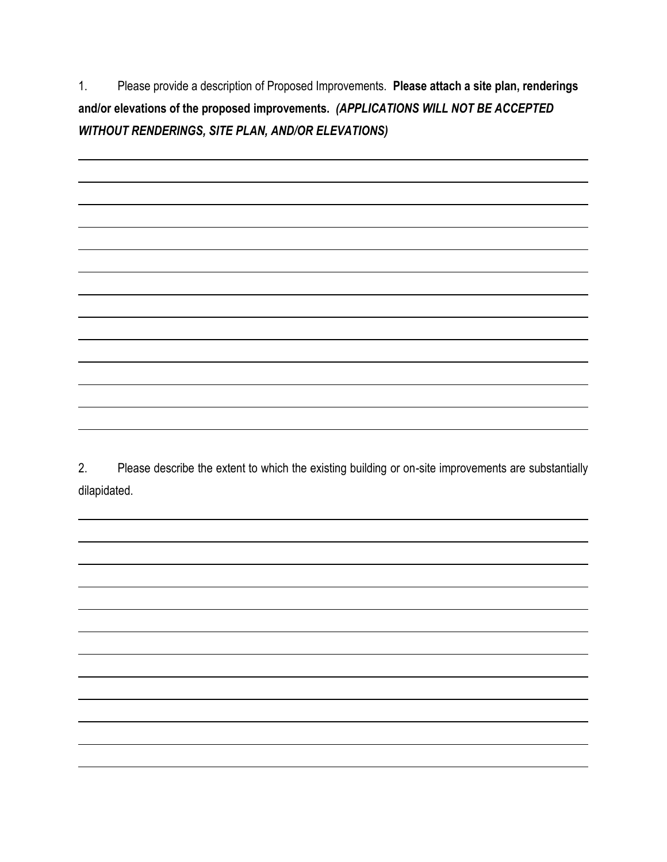$1.$  **and/or elevations of the proposed improvements.** *(APPLICATIONS WILL NOT BE ACCEPTED*  1. Please provide a description of Proposed Improvements. **Please attach a site plan, renderings**  *WITHOUT RENDERINGS, SITE PLAN, AND/OR ELEVATIONS)* 

 2. Please describe the extent to which the existing building or on-site improvements are substantially dilapidated.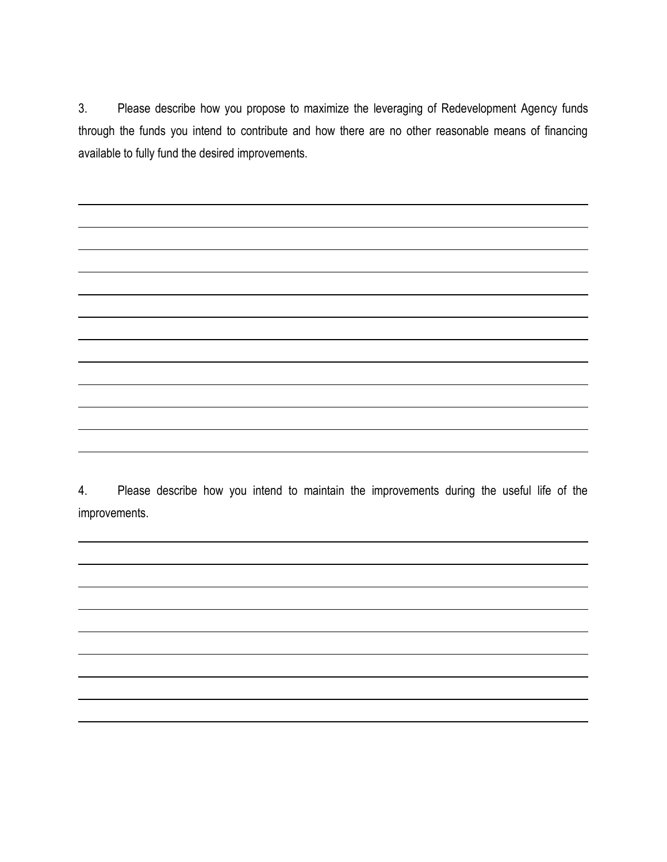3. Please describe how you propose to maximize the leveraging of Redevelopment Agency funds through the funds you intend to contribute and how there are no other reasonable means of financing available to fully fund the desired improvements.

 4. Please describe how you intend to maintain the improvements during the useful life of the improvements.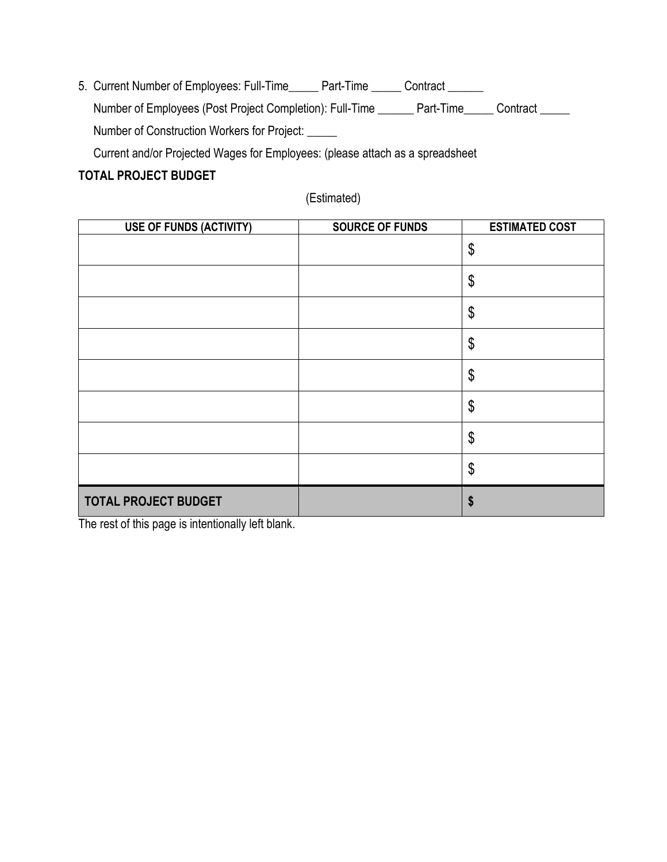5. Current Number of Employees: Full-Time\_\_\_\_\_ Part-Time \_\_\_\_\_ Contract \_\_\_\_\_\_ Number of Employees (Post Project Completion): Full-Time \_\_\_\_\_\_ Part-Time \_\_\_\_\_ Contract \_\_\_\_\_ Number of Construction Workers for Project: \_\_\_\_\_ Current and/or Projected Wages for Employees: (please attach as a spreadsheet

#### **TOTAL PROJECT BUDGET**

(Estimated)

| <b>USE OF FUNDS (ACTIVITY)</b> | <b>SOURCE OF FUNDS</b> | <b>ESTIMATED COST</b> |
|--------------------------------|------------------------|-----------------------|
|                                |                        | \$                    |
|                                |                        | \$                    |
|                                |                        | \$                    |
|                                |                        | \$                    |
|                                |                        | \$                    |
|                                |                        | \$                    |
|                                |                        | \$                    |
|                                |                        | \$                    |
| <b>TOTAL PROJECT BUDGET</b>    |                        | \$                    |

The rest of this page is intentionally left blank.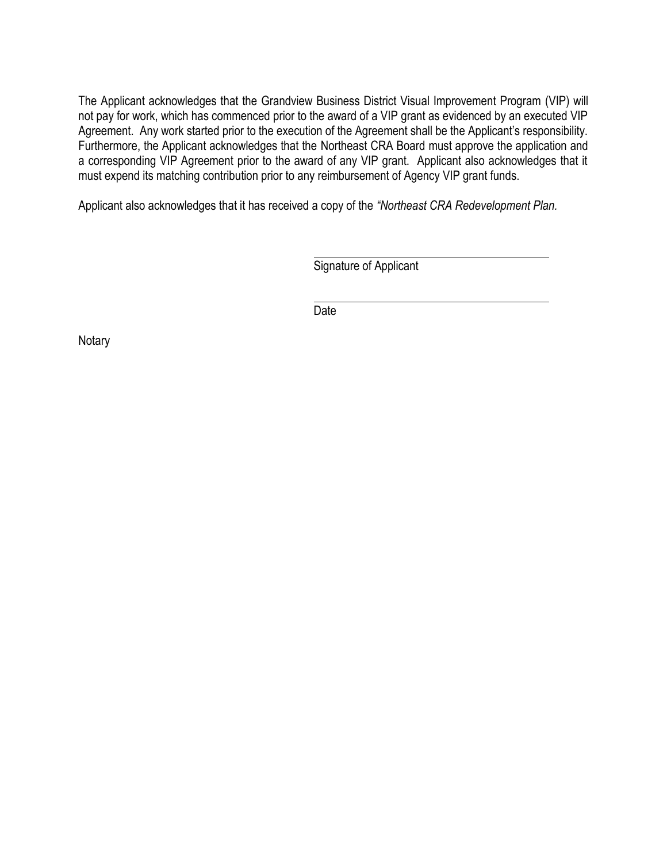The Applicant acknowledges that the Grandview Business District Visual Improvement Program (VIP) will not pay for work, which has commenced prior to the award of a VIP grant as evidenced by an executed VIP Agreement. Any work started prior to the execution of the Agreement shall be the Applicant's responsibility. Furthermore, the Applicant acknowledges that the Northeast CRA Board must approve the application and a corresponding VIP Agreement prior to the award of any VIP grant. Applicant also acknowledges that it must expend its matching contribution prior to any reimbursement of Agency VIP grant funds.

Applicant also acknowledges that it has received a copy of the *"Northeast CRA Redevelopment Plan.* 

Signature of Applicant

Date

**Notary**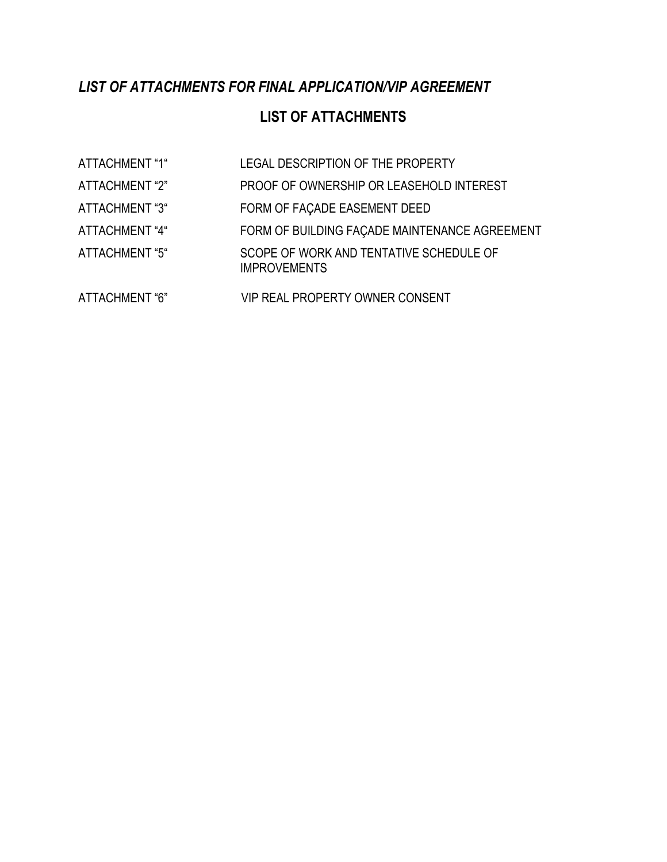## *LIST OF ATTACHMENTS FOR FINAL APPLICATION/VIP AGREEMENT*

## **LIST OF ATTACHMENTS**

| ATTACHMENT "1" | LEGAL DESCRIPTION OF THE PROPERTY                              |
|----------------|----------------------------------------------------------------|
| ATTACHMENT "2" | PROOF OF OWNERSHIP OR LEASEHOLD INTEREST                       |
| ATTACHMENT "3" | FORM OF FACADE EASEMENT DEED                                   |
| ATTACHMENT "4" | FORM OF BUILDING FACADE MAINTENANCE AGREEMENT                  |
| ATTACHMENT "5" | SCOPE OF WORK AND TENTATIVE SCHEDULE OF<br><b>IMPROVEMENTS</b> |
| ATTACHMENT "6" | <b>VIP REAL PROPERTY OWNER CONSENT</b>                         |